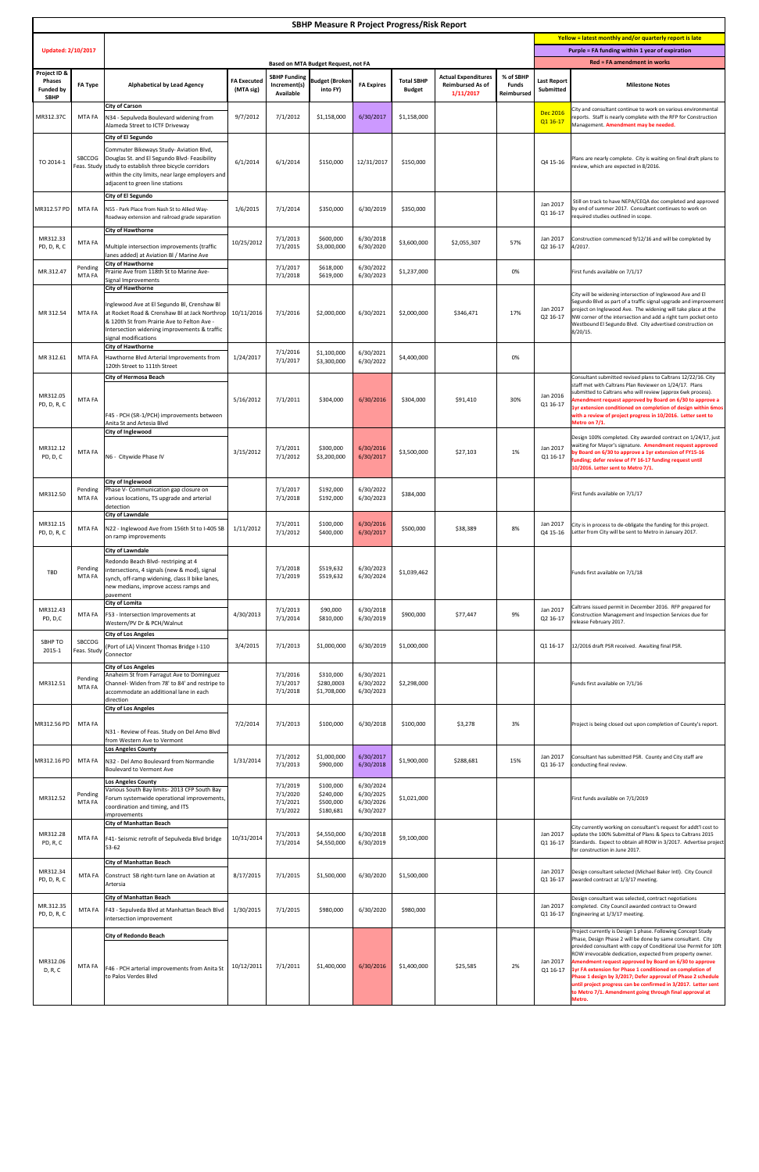| <b>SBHP Measure R Project Progress/Risk Report</b>               |                              |                                                                                                                                                                                                                                         |                                 |                                              |                                                  |                                                  |                                    |                                                                    |                                                                                       |                                                         |                                                                                                                                                                                                                                                                                                                                                                                                                                                                                                                                                                                            |
|------------------------------------------------------------------|------------------------------|-----------------------------------------------------------------------------------------------------------------------------------------------------------------------------------------------------------------------------------------|---------------------------------|----------------------------------------------|--------------------------------------------------|--------------------------------------------------|------------------------------------|--------------------------------------------------------------------|---------------------------------------------------------------------------------------|---------------------------------------------------------|--------------------------------------------------------------------------------------------------------------------------------------------------------------------------------------------------------------------------------------------------------------------------------------------------------------------------------------------------------------------------------------------------------------------------------------------------------------------------------------------------------------------------------------------------------------------------------------------|
|                                                                  |                              |                                                                                                                                                                                                                                         |                                 |                                              |                                                  |                                                  |                                    |                                                                    |                                                                                       | Yellow = latest monthly and/or quarterly report is late |                                                                                                                                                                                                                                                                                                                                                                                                                                                                                                                                                                                            |
| <b>Updated: 2/10/2017</b>                                        |                              | <b>Based on MTA Budget Request, not FA</b>                                                                                                                                                                                              |                                 |                                              |                                                  |                                                  |                                    |                                                                    | Purple = FA funding within 1 year of expiration<br><b>Red = FA amendment in works</b> |                                                         |                                                                                                                                                                                                                                                                                                                                                                                                                                                                                                                                                                                            |
| Project ID &<br><b>Phases</b><br><b>Funded by</b><br><b>SBHP</b> | <b>FA Type</b>               | <b>Alphabetical by Lead Agency</b>                                                                                                                                                                                                      | <b>FA Executed</b><br>(MTA sig) | Increment(s)<br>Available                    | SBHP Funding Budget (Broken)<br>into FY)         | <b>FA Expires</b>                                | <b>Total SBHP</b><br><b>Budget</b> | <b>Actual Expenditures</b><br><b>Reimbursed As of</b><br>1/11/2017 | % of SBHP<br><b>Funds</b><br>Reimbursed                                               | <b>Last Report</b><br><b>Submitted</b>                  | <b>Milestone Notes</b>                                                                                                                                                                                                                                                                                                                                                                                                                                                                                                                                                                     |
| MR312.37C                                                        | MTA FA                       | <b>City of Carson</b><br>N34 - Sepulveda Boulevard widening from<br>Alameda Street to ICTF Driveway<br><b>City of El Segundo</b>                                                                                                        | 9/7/2012                        | 7/1/2012                                     | \$1,158,000                                      | 6/30/2017                                        | \$1,158,000                        |                                                                    |                                                                                       | <b>Dec 2016</b><br>Q1 16-17                             | City and consultant continue to work on various environmental<br>reports. Staff is nearly complete with the RFP for Construction<br>Management. Amendment may be needed.                                                                                                                                                                                                                                                                                                                                                                                                                   |
| TO 2014-1                                                        | <b>SBCCOG</b>                | Commuter Bikeways Study- Aviation Blvd,<br>Douglas St. and El Segundo Blvd-Feasibility<br>Feas. Study study to establish three bicycle corridors<br>within the city limits, near large employers and<br>adjacent to green line stations | 6/1/2014                        | 6/1/2014                                     | \$150,000                                        | 12/31/2017                                       | \$150,000                          |                                                                    |                                                                                       | Q4 15-16                                                | Plans are nearly complete. City is waiting on final draft plans to<br>review, which are expected in 8/2016.                                                                                                                                                                                                                                                                                                                                                                                                                                                                                |
| MR312.57 PD                                                      | MTA FA                       | <b>City of El Segundo</b><br>N55 - Park Place from Nash St to Allied Way-<br>Roadway extension and railroad grade separation                                                                                                            | 1/6/2015                        | 7/1/2014                                     | \$350,000                                        | 6/30/2019                                        | \$350,000                          |                                                                    |                                                                                       | Jan 2017<br>Q1 16-17                                    | Still on track to have NEPA/CEQA doc completed and approved<br>by end of summer 2017. Consultant continues to work on<br>required studies outlined in scope.                                                                                                                                                                                                                                                                                                                                                                                                                               |
| MR312.33<br>PD, D, R, C                                          | MTA FA                       | <b>City of Hawthorne</b><br>Multiple intersection improvements (traffic<br>lanes added) at Aviation Bl / Marine Ave                                                                                                                     | 10/25/2012                      | 7/1/2013<br>7/1/2015                         | \$600,000<br>\$3,000,000                         | 6/30/2018<br>6/30/2020                           | \$3,600,000                        | \$2,055,307                                                        | 57%                                                                                   | Jan 2017<br>Q2 16-17                                    | Construction commenced 9/12/16 and will be completed by<br>4/2017.                                                                                                                                                                                                                                                                                                                                                                                                                                                                                                                         |
| MR.312.47                                                        | Pending<br>MTA FA            | <b>City of Hawthorne</b><br>Prairie Ave from 118th St to Marine Ave-<br>Signal Improvements<br><b>City of Hawthorne</b>                                                                                                                 |                                 | 7/1/2017<br>7/1/2018                         | \$618,000<br>\$619,000                           | 6/30/2022<br>6/30/2023                           | \$1,237,000                        |                                                                    | 0%                                                                                    |                                                         | First funds available on 7/1/17                                                                                                                                                                                                                                                                                                                                                                                                                                                                                                                                                            |
| MR 312.54                                                        | MTA FA                       | Inglewood Ave at El Segundo Bl, Crenshaw Bl<br>at Rocket Road & Crenshaw Bl at Jack Northrop<br>8 120th St from Prairie Ave to Felton Ave -<br>Intersection widening improvements & traffic<br>signal modifications                     | 10/11/2016                      | 7/1/2016                                     | \$2,000,000                                      | 6/30/2021                                        | \$2,000,000                        | \$346,471                                                          | 17%                                                                                   | Jan 2017<br>Q2 16-17                                    | City will be widening intersection of Inglewood Ave and El<br>Segundo Blvd as part of a traffic signal upgrade and improvement<br>project on Inglewood Ave. The widening will take place at the<br>NW corner of the intersection and add a right turn pocket onto<br>Westbound El Segundo Blvd. City advertised construction on<br>$8/20/15$ .                                                                                                                                                                                                                                             |
| MR 312.61                                                        | MTA FA                       | <b>City of Hawthorne</b><br>Hawthorne Blvd Arterial Improvements from<br>120th Street to 111th Street                                                                                                                                   | 1/24/2017                       | 7/1/2016<br>7/1/2017                         | \$1,100,000<br>\$3,300,000                       | 6/30/2021<br>6/30/2022                           | \$4,400,000                        |                                                                    | 0%                                                                                    |                                                         |                                                                                                                                                                                                                                                                                                                                                                                                                                                                                                                                                                                            |
| MR312.05<br>PD, D, R, C                                          | MTA FA                       | <b>City of Hermosa Beach</b><br>F45 - PCH (SR-1/PCH) improvements between<br>Anita St and Artesia Blvd                                                                                                                                  | 5/16/2012                       | 7/1/2011                                     | \$304,000                                        | 6/30/2016                                        | \$304,000                          | \$91,410                                                           | 30%                                                                                   | Jan 2016<br>Q1 16-17                                    | Consultant submitted revised plans to Caltrans 12/22/16. City<br>staff met with Caltrans Plan Reviewer on 1/24/17. Plans<br>submitted to Caltrans who will review (approx 6wk process).<br>Amendment request approved by Board on 6/30 to approve a<br>1yr extension conditioned on completion of design within 6mos<br>with a review of project progress in 10/2016. Letter sent to<br>Metro on 7/1.                                                                                                                                                                                      |
| MR312.12<br>PD, D, C                                             | MTA FA                       | City of Inglewood<br>N6 - Citywide Phase IV                                                                                                                                                                                             | 3/15/2012                       | 7/1/2011<br>7/1/2012                         | \$300,000<br>\$3,200,000                         | 6/30/2016<br>6/30/2017                           | \$3,500,000                        | \$27,103                                                           | 1%                                                                                    | Jan 2017<br>Q1 16-17                                    | Design 100% completed. City awarded contract on 1/24/17, just<br>waiting for Mayor's signature. Amendment request approved<br>by Board on 6/30 to approve a 1yr extension of FY15-16<br>funding; defer review of FY 16-17 funding request until<br>10/2016. Letter sent to Metro 7/1.                                                                                                                                                                                                                                                                                                      |
| MR312.50                                                         | MTA FA                       | <b>City of Inglewood</b><br>Pending   Phase V- Communication gap closure on<br>various locations, TS upgrade and arterial<br>detection                                                                                                  |                                 | 7/1/2017<br>7/1/2018                         | \$192,000<br>\$192,000                           | 6/30/2022<br>6/30/2023                           | \$384,000                          |                                                                    |                                                                                       |                                                         | First funds available on 7/1/17                                                                                                                                                                                                                                                                                                                                                                                                                                                                                                                                                            |
| MR312.15<br>PD, D, R, C                                          |                              | <b>City of Lawndale</b><br>MTA FA   N22 - Inglewood Ave from 156th St to I-405 SB   1/11/2012<br>on ramp improvements                                                                                                                   |                                 | 7/1/2011<br>7/1/2012                         | \$100,000<br>\$400,000                           | 6/30/2016<br>6/30/2017                           | \$500,000                          | \$38,389                                                           | 8%                                                                                    | Jan 2017                                                | City is in process to de-obligate the funding for this project.<br>Q4 15-16   Letter from City will be sent to Metro in January 2017.                                                                                                                                                                                                                                                                                                                                                                                                                                                      |
| TBD                                                              | Pending<br>MTA FA            | <b>City of Lawndale</b><br>Redondo Beach Blvd-restriping at 4<br>lintersections, 4 signals (new & mod), signal<br>synch, off-ramp widening, class II bike lanes,<br>new medians, improve access ramps and<br>pavement                   |                                 | 7/1/2018<br>7/1/2019                         | \$519,632<br>\$519,632                           | 6/30/2023<br>6/30/2024                           | \$1,039,462                        |                                                                    |                                                                                       |                                                         | Funds first available on 7/1/18                                                                                                                                                                                                                                                                                                                                                                                                                                                                                                                                                            |
| MR312.43<br>PD, D,C                                              | MTA FA                       | <b>City of Lomita</b><br><b>F53</b> - Intersection Improvements at<br>Western/PV Dr & PCH/Walnut                                                                                                                                        | 4/30/2013                       | 7/1/2013<br>7/1/2014                         | \$90,000<br>\$810,000                            | 6/30/2018<br>6/30/2019                           | \$900,000                          | \$77,447                                                           | 9%                                                                                    | Jan 2017<br>Q2 16-17                                    | Caltrans issued permit in December 2016. RFP prepared for<br>Construction Management and Inspection Services due for<br>release February 2017.                                                                                                                                                                                                                                                                                                                                                                                                                                             |
| SBHP TO<br>2015-1                                                | <b>SBCCOG</b><br>Feas. Study | <b>City of Los Angeles</b><br>(Port of LA) Vincent Thomas Bridge I-110<br>Connector                                                                                                                                                     | 3/4/2015                        | 7/1/2013                                     | \$1,000,000                                      | 6/30/2019                                        | \$1,000,000                        |                                                                    |                                                                                       | Q1 16-17                                                | 12/2016 draft PSR received. Awaiting final PSR.                                                                                                                                                                                                                                                                                                                                                                                                                                                                                                                                            |
| MR312.51                                                         | Pending<br>MTA FA            | <b>City of Los Angeles</b><br>Anaheim St from Farragut Ave to Dominguez<br>Channel-Widen from 78' to 84' and restripe to<br>accommodate an additional lane in each<br>direction                                                         |                                 | 7/1/2016<br>7/1/2017<br>7/1/2018             | \$310,000<br>\$280,0003<br>\$1,708,000           | 6/30/2021<br>6/30/2022<br>6/30/2023              | \$2,298,000                        |                                                                    |                                                                                       |                                                         | Funds first available on 7/1/16                                                                                                                                                                                                                                                                                                                                                                                                                                                                                                                                                            |
| MR312.56 PD                                                      | <b>MTA FA</b>                | <b>City of Los Angeles</b><br>N31 - Review of Feas. Study on Del Amo Blvd<br>from Western Ave to Vermont                                                                                                                                | 7/2/2014                        | 7/1/2013                                     | \$100,000                                        | 6/30/2018                                        | \$100,000                          | \$3,278                                                            | 3%                                                                                    |                                                         | Project is being closed out upon completion of County's report.                                                                                                                                                                                                                                                                                                                                                                                                                                                                                                                            |
| MR312.16 PD                                                      | MTA FA                       | Los Angeles County<br>N32 - Del Amo Boulevard from Normandie<br>Boulevard to Vermont Ave                                                                                                                                                | 1/31/2014                       | 7/1/2012<br>7/1/2013                         | \$1,000,000<br>\$900,000                         | 6/30/2017<br>6/30/2018                           | \$1,900,000                        | \$288,681                                                          | 15%                                                                                   | Jan 2017<br>Q1 16-17                                    | Consultant has submitted PSR. County and City staff are<br>conducting final review.                                                                                                                                                                                                                                                                                                                                                                                                                                                                                                        |
| MR312.52                                                         | Pending<br>MTA FA            | Los Angeles County<br>Various South Bay limits-2013 CFP South Bay<br>Forum systemwide operational improvements,<br>coordination and timing, and ITS<br>improvements                                                                     |                                 | 7/1/2019<br>7/1/2020<br>7/1/2021<br>7/1/2022 | \$100,000<br>\$240,000<br>\$500,000<br>\$180,681 | 6/30/2024<br>6/30/2025<br>6/30/2026<br>6/30/2027 | \$1,021,000                        |                                                                    |                                                                                       |                                                         | First funds available on 7/1/2019                                                                                                                                                                                                                                                                                                                                                                                                                                                                                                                                                          |
| MR312.28<br>PD, R, C                                             | MTA FA                       | <b>City of Manhattan Beach</b><br>F41- Seismic retrofit of Sepulveda Blvd bridge<br>$53-62$                                                                                                                                             | 10/31/2014                      | 7/1/2013<br>7/1/2014                         | \$4,550,000<br>\$4,550,000                       | 6/30/2018<br>6/30/2019                           | \$9,100,000                        |                                                                    |                                                                                       | Jan 2017<br>Q1 16-17                                    | City currently working on consultant's request for addt'l cost to<br>update the 100% Submittal of Plans & Specs to Caltrans 2015<br>Standards. Expect to obtain all ROW in 3/2017. Advertise project<br>for construction in June 2017.                                                                                                                                                                                                                                                                                                                                                     |
| MR312.34<br>PD, D, R, C                                          |                              | <b>City of Manhattan Beach</b><br>MTA FA Construct SB right-turn lane on Aviation at<br>Artersia                                                                                                                                        | 8/17/2015                       | 7/1/2015                                     | \$1,500,000                                      | 6/30/2020                                        | \$1,500,000                        |                                                                    |                                                                                       | Jan 2017<br>Q1 16-17                                    | Design consultant selected (Michael Baker Intl). City Council<br>awarded contract at 1/3/17 meeting.                                                                                                                                                                                                                                                                                                                                                                                                                                                                                       |
| MR.312.35<br>PD, D, R, C                                         |                              | <b>City of Manhattan Beach</b><br>MTA FA   F43 - Sepulveda Blvd at Manhattan Beach Blvd<br>intersection improvement                                                                                                                     | 1/30/2015                       | 7/1/2015                                     | \$980,000                                        | 6/30/2020                                        | \$980,000                          |                                                                    |                                                                                       | Jan 2017<br>Q1 16-17                                    | Design consultant was selected, contract negotiations<br>completed. City Council awarded contract to Onward<br>Engineering at 1/3/17 meeting.                                                                                                                                                                                                                                                                                                                                                                                                                                              |
| MR312.06<br>D, R, C                                              | MTA FA                       | <b>City of Redondo Beach</b><br>F46 - PCH arterial improvements from Anita St<br>to Palos Verdes Blvd                                                                                                                                   | 10/12/2011                      | 7/1/2011                                     | \$1,400,000                                      | 6/30/2016                                        | \$1,400,000                        | \$25,585                                                           | 2%                                                                                    | Jan 2017<br>Q1 16-17                                    | Project currently is Design 1 phase. Following Concept Study<br>Phase, Design Phase 2 will be done by same consultant. City<br>provided consultant with copy of Conditional Use Permit for 10ft<br>ROW irrevocable dedication, expected from property owner.<br>Amendment request approved by Board on 6/30 to approve<br>1yr FA extension for Phase 1 conditioned on completion of<br>Phase 1 design by 3/2017; Defer approval of Phase 2 schedule<br>until project progress can be confirmed in 3/2017. Letter sent<br>to Metro 7/1. Amendment going through final approval at<br>Metro. |